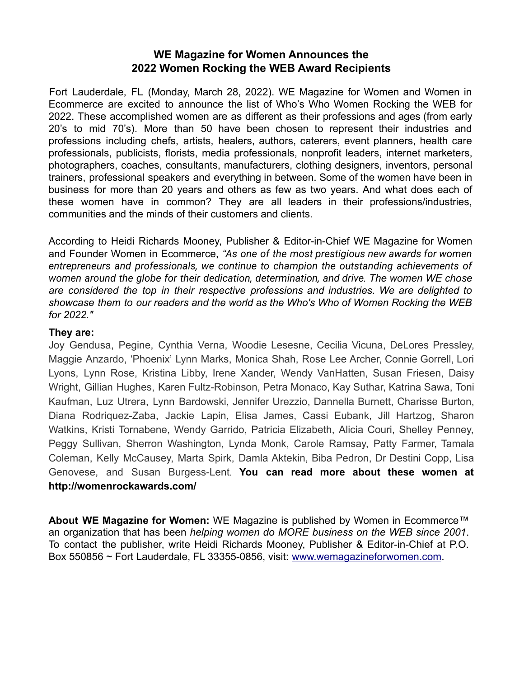## **WE Magazine for Women Announces the 2022 Women Rocking the WEB Award Recipients**

Fort Lauderdale, FL (Monday, March 28, 2022). WE Magazine for Women and Women in Ecommerce are excited to announce the list of Who's Who Women Rocking the WEB for 2022. These accomplished women are as different as their professions and ages (from early 20's to mid 70's). More than 50 have been chosen to represent their industries and professions including chefs, artists, healers, authors, caterers, event planners, health care professionals, publicists, florists, media professionals, nonprofit leaders, internet marketers, photographers, coaches, consultants, manufacturers, clothing designers, inventors, personal trainers, professional speakers and everything in between. Some of the women have been in business for more than 20 years and others as few as two years. And what does each of these women have in common? They are all leaders in their professions/industries, communities and the minds of their customers and clients.

According to Heidi Richards Mooney, Publisher & Editor-in-Chief WE Magazine for Women and Founder Women in Ecommerce, *"As one of the most prestigious new awards for women entrepreneurs and professionals, we continue to champion the outstanding achievements of women around the globe for their dedication, determination, and drive. The women WE chose are considered the top in their respective professions and industries. We are delighted to showcase them to our readers and the world as the Who's Who of Women Rocking the WEB for 2022."*

## **They are:**

Joy Gendusa, Pegine, Cynthia Verna, Woodie Lesesne, Cecilia Vicuna, DeLores Pressley, Maggie Anzardo, 'Phoenix' Lynn Marks, Monica Shah, Rose Lee Archer, Connie Gorrell, Lori Lyons, Lynn Rose, Kristina Libby, Irene Xander, Wendy VanHatten, Susan Friesen, Daisy Wright, Gillian Hughes, Karen Fultz-Robinson, Petra Monaco, Kay Suthar, Katrina Sawa, Toni Kaufman, Luz Utrera, Lynn Bardowski, Jennifer Urezzio, Dannella Burnett, Charisse Burton, Diana Rodriquez-Zaba, Jackie Lapin, Elisa James, Cassi Eubank, Jill Hartzog, Sharon Watkins, Kristi Tornabene, Wendy Garrido, Patricia Elizabeth, Alicia Couri, Shelley Penney, Peggy Sullivan, Sherron Washington, Lynda Monk, Carole Ramsay, Patty Farmer, Tamala Coleman, Kelly McCausey, Marta Spirk, Damla Aktekin, Biba Pedron, Dr Destini Copp, Lisa Genovese, and Susan Burgess-Lent. **You can read more about these women at http://womenrockawards.com/**

**About WE Magazine for Women:** WE Magazine is published by Women in Ecommerce™ an organization that has been *helping women do MORE business on the WEB since 2001*. To contact the publisher, write Heidi Richards Mooney, Publisher & Editor-in-Chief at P.O. Box 550856 ~ Fort Lauderdale, FL 33355-0856, visit: www.wemagazineforwomen.com.